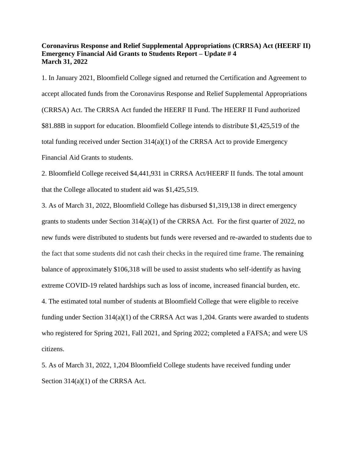## **Coronavirus Response and Relief Supplemental Appropriations (CRRSA) Act (HEERF II) Emergency Financial Aid Grants to Students Report – Update # 4 March 31, 2022**

1. In January 2021, Bloomfield College signed and returned the Certification and Agreement to accept allocated funds from the Coronavirus Response and Relief Supplemental Appropriations (CRRSA) Act. The CRRSA Act funded the HEERF II Fund. The HEERF II Fund authorized \$81.88B in support for education. Bloomfield College intends to distribute \$1,425,519 of the total funding received under Section  $314(a)(1)$  of the CRRSA Act to provide Emergency Financial Aid Grants to students.

2. Bloomfield College received \$4,441,931 in CRRSA Act/HEERF II funds. The total amount that the College allocated to student aid was \$1,425,519.

3. As of March 31, 2022, Bloomfield College has disbursed \$1,319,138 in direct emergency grants to students under Section 314(a)(1) of the CRRSA Act. For the first quarter of 2022, no new funds were distributed to students but funds were reversed and re-awarded to students due to the fact that some students did not cash their checks in the required time frame. The remaining balance of approximately \$106,318 will be used to assist students who self-identify as having extreme COVID-19 related hardships such as loss of income, increased financial burden, etc. 4. The estimated total number of students at Bloomfield College that were eligible to receive funding under Section 314(a)(1) of the CRRSA Act was 1,204. Grants were awarded to students who registered for Spring 2021, Fall 2021, and Spring 2022; completed a FAFSA; and were US citizens.

5. As of March 31, 2022, 1,204 Bloomfield College students have received funding under Section 314(a)(1) of the CRRSA Act.